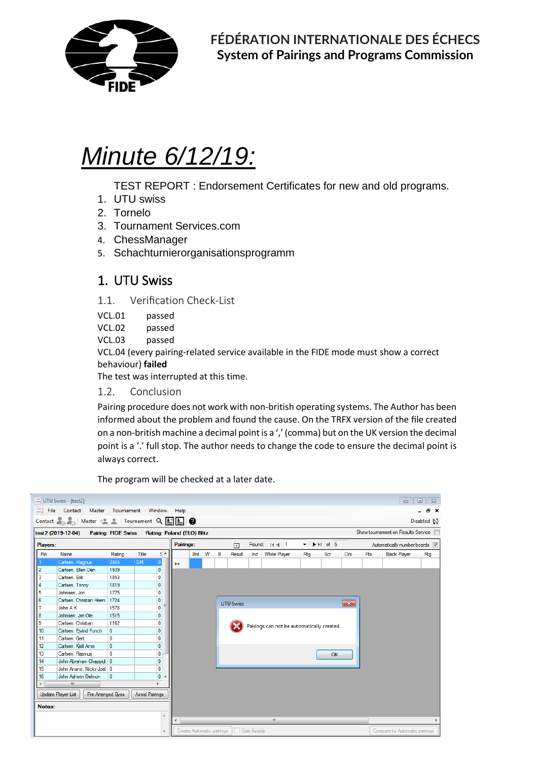

# *Minute 6/12/19:*

TEST REPORT : Endorsement Certificates for new and old programs.

- 1. UTU swiss
- 2. Tornelo
- 3. Tournament Services.com
- 4. ChessManager
- 5. Schachturnierorganisationsprogramm

### 1. UTU Swiss

- 1.1. Verification Check-List
- VCL.01 passed
- VCL.02 passed
- VCL.03 passed

VCL.04 (every pairing-related service available in the FIDE mode must show a correct behaviour) **failed** 

The test was interrupted at this time.

1.2. Conclusion

Pairing procedure does not work with non-british operating systems. The Author has been informed about the problem and found the cause. On the TRFX version of the file created on a non-british machine a decimal point is a ',' (comma) but on the UK version the decimal point is a '.' full stop. The author needs to change the code to ensure the decimal point is always correct.

The program will be checked at a later date.

|                      | www UTU Swiss - [test2]                                                                                                                                        |              |                       |                           |           |                           |                                            |   |                   |  |                  |                |                                                |              |                        | $\qquad \qquad \Box$              | $\Sigma$<br>$\qquad \qquad \Box$ |  |  |
|----------------------|----------------------------------------------------------------------------------------------------------------------------------------------------------------|--------------|-----------------------|---------------------------|-----------|---------------------------|--------------------------------------------|---|-------------------|--|------------------|----------------|------------------------------------------------|--------------|------------------------|-----------------------------------|----------------------------------|--|--|
|                      | File Contact Master Tournament Window Help                                                                                                                     |              |                       |                           |           |                           |                                            |   |                   |  |                  |                |                                                |              |                        |                                   | a x                              |  |  |
|                      |                                                                                                                                                                |              |                       |                           |           |                           |                                            |   |                   |  |                  |                |                                                |              |                        |                                   |                                  |  |  |
|                      | Contact $\begin{bmatrix} 2 \\ 4 \end{bmatrix}$ Master $\begin{bmatrix} 2 \\ 4 \end{bmatrix}$ Tournament $Q$ $\boxed{\begin{bmatrix} 1 \\ 2 \end{bmatrix}}$ $Q$ |              |                       |                           |           |                           |                                            |   |                   |  |                  |                |                                                |              |                        |                                   | Disabled NJ                      |  |  |
|                      | test2 (2019-12-04) Pairing: FIDE Swiss Rating: Poland (ELO) Blitz                                                                                              |              |                       |                           |           |                           |                                            |   |                   |  |                  |                |                                                |              |                        | Show toumament on Results Service |                                  |  |  |
| Players:             |                                                                                                                                                                |              |                       |                           | Pairings: |                           |                                            |   | $\lceil i \rceil$ |  | Round: $ 4 $ 4 1 | $\blacksquare$ | $\blacktriangleright \blacktriangleright$ of 5 |              |                        | Automatically number boards V     |                                  |  |  |
| Pin                  | Name                                                                                                                                                           | Rating       | Title                 | ş.                        |           | Brd W                     |                                            | в | Result            |  | Ind White Player | Rtg            | Scr                                            | Cirs         | <b>F</b> <sub>ts</sub> | <b>Black Player</b>               | Rtg                              |  |  |
|                      | Carlsen, Magnus                                                                                                                                                | 2865         | <b>GM</b>             | 0                         | þ*        |                           |                                            |   |                   |  |                  |                |                                                |              |                        |                                   |                                  |  |  |
| 2                    | Carlsen, Ellen Oen                                                                                                                                             | 1939         |                       | $\overline{\mathfrak{o}}$ |           |                           |                                            |   |                   |  |                  |                |                                                |              |                        |                                   |                                  |  |  |
| 3                    | Carlsen, Erik                                                                                                                                                  | 1853         |                       | $\overline{\mathbf{0}}$   |           |                           |                                            |   |                   |  |                  |                |                                                |              |                        |                                   |                                  |  |  |
| 4                    | Carlsen, Tonny                                                                                                                                                 | 1819         |                       | $\overline{\mathbf{0}}$   |           |                           |                                            |   |                   |  |                  |                |                                                |              |                        |                                   |                                  |  |  |
| 5                    | Johnsen, Jon                                                                                                                                                   | 1775         |                       | $\overline{\mathbf{0}}$   |           |                           |                                            |   |                   |  |                  |                |                                                |              |                        |                                   |                                  |  |  |
| 6                    | Carlsen, Christian Heen                                                                                                                                        | 1724         |                       | $\overline{\mathbf{0}}$   |           |                           |                                            |   | <b>UTU Swiss</b>  |  |                  |                |                                                | $\mathbf{x}$ |                        |                                   |                                  |  |  |
|                      | John A K                                                                                                                                                       | 1578         |                       | $\overline{\mathbf{0}}$   |           |                           |                                            |   |                   |  |                  |                |                                                |              |                        |                                   |                                  |  |  |
| 8                    | Johnsen, Jim Ole                                                                                                                                               | 1515         |                       | $\overline{0}$            |           |                           |                                            |   |                   |  |                  |                |                                                |              |                        |                                   |                                  |  |  |
| 9                    | Carlsen, Christian                                                                                                                                             | 1162         |                       | $\overline{\mathbf{0}}$   |           |                           |                                            |   |                   |  |                  |                |                                                |              |                        |                                   |                                  |  |  |
| 10                   | Carlsen, Ejvind Funch                                                                                                                                          | 0            |                       | $\overline{0}$            |           |                           | Pairings can not be automatically created. |   |                   |  |                  |                |                                                |              |                        |                                   |                                  |  |  |
| 11                   | Carlsen, Gert                                                                                                                                                  | $\mathbf{0}$ |                       | $\overline{\mathbf{0}}$   |           |                           |                                            |   |                   |  |                  |                |                                                |              |                        |                                   |                                  |  |  |
| 12                   | Carlsen, Kiell Ame                                                                                                                                             | 0            |                       | $\overline{\mathbf{0}}$   |           |                           |                                            |   |                   |  |                  |                |                                                |              |                        |                                   |                                  |  |  |
| 13                   | Carlsen, Rasmus                                                                                                                                                | $\mathbf{0}$ |                       | $\overline{\mathbf{0}}$   |           |                           |                                            |   |                   |  |                  |                | OK                                             |              |                        |                                   |                                  |  |  |
| 14                   | John Abraham Chappidi 0                                                                                                                                        |              |                       | $\mathbf{0}$              |           |                           |                                            |   |                   |  |                  |                |                                                |              |                        |                                   |                                  |  |  |
| 15                   | John Anand, Nicky Joel 0                                                                                                                                       |              |                       | $\mathbf{0}$              |           |                           |                                            |   |                   |  |                  |                |                                                |              |                        |                                   |                                  |  |  |
| 16                   | John Ashwin Delmon                                                                                                                                             | 0            |                       | $\overline{0}$            |           |                           |                                            |   |                   |  |                  |                |                                                |              |                        |                                   |                                  |  |  |
| $\blacktriangleleft$ | m.                                                                                                                                                             |              |                       |                           |           |                           |                                            |   |                   |  |                  |                |                                                |              |                        |                                   |                                  |  |  |
|                      | Update Player List<br>Pre-Arranged Byes                                                                                                                        |              | <b>Avoid Pairings</b> |                           |           |                           |                                            |   |                   |  |                  |                |                                                |              |                        |                                   |                                  |  |  |
| Notes:               |                                                                                                                                                                |              |                       |                           |           |                           |                                            |   |                   |  |                  |                |                                                |              |                        |                                   |                                  |  |  |
|                      |                                                                                                                                                                |              |                       | A.                        |           |                           |                                            |   |                   |  |                  |                |                                                |              |                        |                                   |                                  |  |  |
|                      |                                                                                                                                                                |              |                       |                           |           |                           | m.                                         |   |                   |  |                  |                |                                                |              |                        |                                   |                                  |  |  |
|                      |                                                                                                                                                                |              |                       |                           |           | Create Automatic pairings |                                            |   | Use Avoids        |  |                  |                |                                                |              |                        | Compare to Automatic pairings     |                                  |  |  |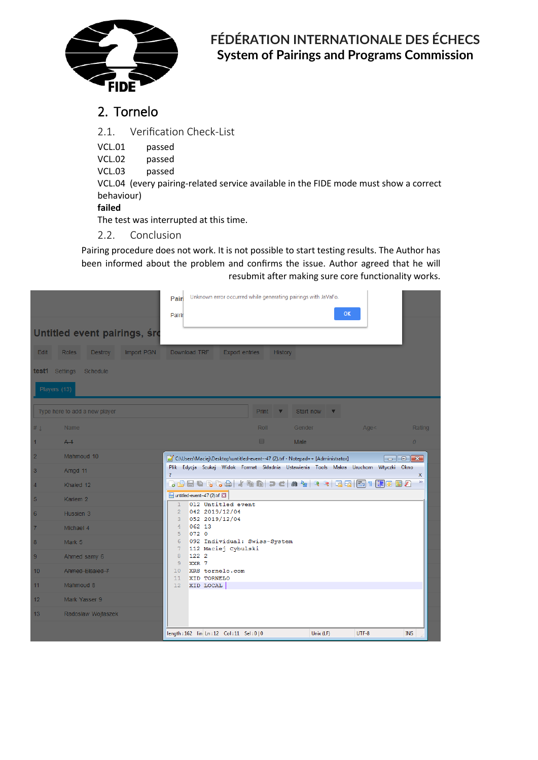

## 2. Tornelo

2.1. Verification Check-List

VCL.01 passed

VCL.02 passed

VCL.03 passed

VCL.04 (every pairing-related service available in the FIDE mode must show a correct behaviour)

#### **failed**

The test was interrupted at this time.

2.2. Conclusion

Pairing procedure does not work. It is not possible to start testing results. The Author has been informed about the problem and confirms the issue. Author agreed that he will resubmit after making sure core functionality works.

| <b>Edit</b><br>test1<br>Players (13) | Untitled event pairings, śro<br>Import PGN<br><b>Roles</b><br><b>Destroy</b><br>Settings<br><b>Schedule</b> | Unknown error occurred while generating pairings with JaVaFo.<br>Pairi<br>OK<br>Pairir<br>Download TRF<br><b>Export entries</b><br>History                                                                    |  |  |  |  |  |  |  |  |  |  |  |  |  |
|--------------------------------------|-------------------------------------------------------------------------------------------------------------|---------------------------------------------------------------------------------------------------------------------------------------------------------------------------------------------------------------|--|--|--|--|--|--|--|--|--|--|--|--|--|
|                                      |                                                                                                             |                                                                                                                                                                                                               |  |  |  |  |  |  |  |  |  |  |  |  |  |
|                                      | Type here to add a new player                                                                               | Print<br>Start now                                                                                                                                                                                            |  |  |  |  |  |  |  |  |  |  |  |  |  |
| # 1                                  | <b>Name</b>                                                                                                 | Roll<br>Gender<br>Age <<br>Rating                                                                                                                                                                             |  |  |  |  |  |  |  |  |  |  |  |  |  |
| 1                                    | A <sub>1</sub>                                                                                              | $\Box$<br>Male<br>$\overline{0}$                                                                                                                                                                              |  |  |  |  |  |  |  |  |  |  |  |  |  |
| $\overline{2}$                       | Mahmoud 10                                                                                                  | C:\Users\Maciej\Desktop\untitled-event--47 (2).trf - Notepad++ [Administrator]<br>$\begin{array}{ c c c c c }\hline \multicolumn{1}{ c }{\mathbf{C}} & \multicolumn{1}{ c }{\mathbf{X}} \\\hline \end{array}$ |  |  |  |  |  |  |  |  |  |  |  |  |  |
| 3                                    | Amgd 11                                                                                                     | Plik Edycja Szukaj Widok Format Składnia Ustawienia Tools Makra Uruchom Wtyczki Okno<br>?<br>$\mathsf{x}$                                                                                                     |  |  |  |  |  |  |  |  |  |  |  |  |  |
| $\overline{4}$                       | Khaled 12                                                                                                   | $\gg$<br>. 8 8 6 6 6 6 4 6 6 7 6 6 7 6 6 7 6 6 6 7 1 7 8 7 8                                                                                                                                                  |  |  |  |  |  |  |  |  |  |  |  |  |  |
| 5                                    | Kariem <sub>2</sub>                                                                                         | untitled-event--47 (2).trf<br>012 Untitled event<br>$\mathbf{1}$                                                                                                                                              |  |  |  |  |  |  |  |  |  |  |  |  |  |
| 6                                    | Hussien 3                                                                                                   | $\overline{2}$<br>042 2019/12/04<br>052 2019/12/04<br>3                                                                                                                                                       |  |  |  |  |  |  |  |  |  |  |  |  |  |
| $\overline{7}$                       | Michael 4                                                                                                   | $\overline{4}$<br>062 13<br>072 0<br>5                                                                                                                                                                        |  |  |  |  |  |  |  |  |  |  |  |  |  |
| 8                                    | Mark 5                                                                                                      | 6<br>092 Individual: Swiss-System                                                                                                                                                                             |  |  |  |  |  |  |  |  |  |  |  |  |  |
| 9                                    | Ahmed samy 6                                                                                                | 112 Maciej Cybulski<br>7<br>8<br>122 2                                                                                                                                                                        |  |  |  |  |  |  |  |  |  |  |  |  |  |
| 10                                   | Ahmed Elsaied 7                                                                                             | $\overline{9}$<br>XXR 7<br>10<br>XRS tornelo.com                                                                                                                                                              |  |  |  |  |  |  |  |  |  |  |  |  |  |
| 11                                   | Mahmoud 8                                                                                                   | 11<br>XID TORNELO<br>12<br>XID LOCAL                                                                                                                                                                          |  |  |  |  |  |  |  |  |  |  |  |  |  |
| 12 <sup>2</sup>                      | Mark Yasser 9                                                                                               |                                                                                                                                                                                                               |  |  |  |  |  |  |  |  |  |  |  |  |  |
| 13 <sup>°</sup>                      | Radoslaw Wojtaszek                                                                                          |                                                                                                                                                                                                               |  |  |  |  |  |  |  |  |  |  |  |  |  |
|                                      |                                                                                                             | Unix (LF)<br>UTF-8<br><b>INS</b><br>length: 162 lin Ln: 12 Col: 11 Sel: 0   0                                                                                                                                 |  |  |  |  |  |  |  |  |  |  |  |  |  |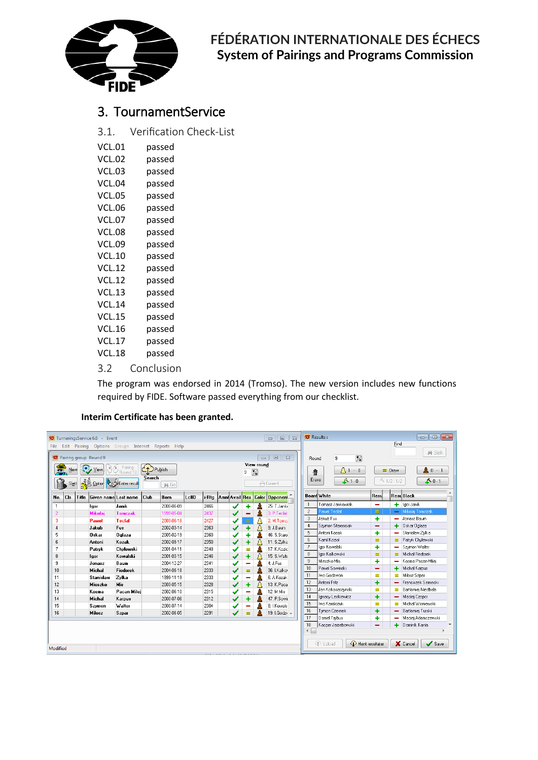

## 3. TournamentService

3.1. Verification Check-List

| VCL.01        | passed |
|---------------|--------|
| <b>VCL.02</b> | passed |
| <b>VCL.03</b> | passed |
| <b>VCL.04</b> | passed |
| <b>VCL.05</b> | passed |
| <b>VCL.06</b> | passed |
| <b>VCL.07</b> | passed |
| <b>VCL.08</b> | passed |
| <b>VCL.09</b> | passed |
| <b>VCL.10</b> | passed |
| <b>VCL.12</b> | passed |
| <b>VCL.12</b> | passed |
| <b>VCL.13</b> | passed |
| <b>VCL.14</b> | passed |
| <b>VCL.15</b> | passed |
| <b>VCL.16</b> | passed |
| <b>VCL.17</b> | passed |
| VCL.18        | passed |
|               |        |

3.2 Conclusion

The program was endorsed in 2014 (Tromso). The new version includes new functions required by FIDE. Software passed everything from our checklist.

#### **Interim Certificate has been granted.**

|                                                                                           | TurneringsService 6.6 - Event<br>$\Sigma$<br>$\Box$<br>$\qquad \qquad \Box$                |       |                      |                 |        |            |       |       |                |              |          |                           |                                     |                             | <b>93</b> Results:<br>$\begin{array}{c c c c c} \hline \multicolumn{1}{c }{\mathbf{C}} & \multicolumn{1}{c }{\mathbf{C}} & \multicolumn{1}{c }{\mathbf{X}} \\\hline \multicolumn{1}{c }{\mathbf{C}} & \multicolumn{1}{c }{\mathbf{D}} & \multicolumn{1}{c }{\mathbf{X}} \\\hline \multicolumn{1}{c }{\mathbf{C}} & \multicolumn{1}{c }{\mathbf{D}} & \multicolumn{1}{c }{\mathbf{X}} \\\hline \multicolumn{1}{c }{\mathbf{D}} & \multicolumn{1}{c }{\mathbf{S}} & \multicolumn{1$ |                    |                    |                               |              |                                           |
|-------------------------------------------------------------------------------------------|--------------------------------------------------------------------------------------------|-------|----------------------|-----------------|--------|------------|-------|-------|----------------|--------------|----------|---------------------------|-------------------------------------|-----------------------------|-----------------------------------------------------------------------------------------------------------------------------------------------------------------------------------------------------------------------------------------------------------------------------------------------------------------------------------------------------------------------------------------------------------------------------------------------------------------------------------|--------------------|--------------------|-------------------------------|--------------|-------------------------------------------|
| File                                                                                      | Edit Pairing Options Groups Internet Reports Help                                          |       |                      |                 |        |            |       |       |                |              |          |                           |                                     |                             |                                                                                                                                                                                                                                                                                                                                                                                                                                                                                   |                    |                    | Find                          |              |                                           |
|                                                                                           | $\Sigma$<br><b>数</b> Pairing group Round 9<br>$\qquad \qquad \Box$<br>$\Box$               |       |                      |                 |        |            |       |       |                |              |          |                           |                                     | Round                       | Ø<br>9                                                                                                                                                                                                                                                                                                                                                                                                                                                                            |                    |                    |                               | <b>两 Søk</b> |                                           |
|                                                                                           | View round<br>烏<br>Pairing<br>C <sub>1</sub> Publish<br>View.<br>New<br>Z<br>9<br>Round 10 |       |                      |                 |        |            |       |       |                |              |          | 靠                         | $\mathbf{\hat{\Delta}}$ 1 $\cdot$ 0 |                             | $=$ Draw                                                                                                                                                                                                                                                                                                                                                                                                                                                                          |                    | $\triangle$ 0 $-1$ |                               |              |                                           |
| Search<br><b>ALL</b> Option Content result<br>$\triangle$ Current<br>Slett<br><b>两 Go</b> |                                                                                            |       |                      |                 |        |            |       |       |                | Erase        | 61.0     | 41/2.1/2<br>$\Lambda$ 0-1 |                                     |                             |                                                                                                                                                                                                                                                                                                                                                                                                                                                                                   |                    |                    |                               |              |                                           |
| No.                                                                                       | Cls                                                                                        | Title | Given name Last name |                 | l Club | Born       | LellD | i-Rta | Amni Avail Res |              |          |                           | Color Deponent                      |                             |                                                                                                                                                                                                                                                                                                                                                                                                                                                                                   | <b>Board white</b> | Resu               |                               |              | ResuBlack                                 |
| $\mathbf{1}$                                                                              |                                                                                            |       | lgor                 | Janik           |        | 2000-06-09 |       | 2466  |                | ✔            |          |                           | 25: T.Janki                         |                             |                                                                                                                                                                                                                                                                                                                                                                                                                                                                                   | Tomasz Jankowiak   | -                  |                               |              | $+$ Igor Janik                            |
| $\overline{c}$                                                                            |                                                                                            |       | <b>Mikolai</b>       | <b>Tomczak</b>  |        | 1999-05-04 |       | 2437  |                |              |          |                           | 3: P.Teclaf                         |                             | $\overline{c}$                                                                                                                                                                                                                                                                                                                                                                                                                                                                    | Pawel Teclaf       | Ξ.                 |                               |              | - Mikolaj Tomczak                         |
| 3                                                                                         |                                                                                            |       | Pawel                | <b>Teclaf</b>   |        | 2003-06-18 |       | 2427  |                |              | $\equiv$ |                           | 2: M.Tomc:                          |                             | 3                                                                                                                                                                                                                                                                                                                                                                                                                                                                                 | Jakub Fus          | +                  |                               |              | Jonasz Baum                               |
| 4                                                                                         |                                                                                            |       | Jakub                | Fus             |        | 2002-03-14 |       | 2363  |                |              |          | А                         | 9: J.Baum                           |                             | $\overline{4}$                                                                                                                                                                                                                                                                                                                                                                                                                                                                    | Szymon Starosciak  | -                  |                               | ٠            | Oskar Oglaza                              |
| 5                                                                                         |                                                                                            |       | Oskar                | <b>Oglaza</b>   |        | 2005-02-19 |       | 2360  |                | ✔            |          |                           | 46: S.Staro                         |                             | 5                                                                                                                                                                                                                                                                                                                                                                                                                                                                                 | Antoni Kozak       | +                  |                               |              | Stanislaw Zulka                           |
| 6                                                                                         |                                                                                            |       | Antoni               | Kozak           |        | 2002-09-17 |       | 2350  |                |              |          | Л                         | 11: S.Zvlka                         |                             | 6                                                                                                                                                                                                                                                                                                                                                                                                                                                                                 | Kamil Koziol       | Ξ                  |                               |              | Patryk Chylewski                          |
| $\overline{7}$                                                                            |                                                                                            |       | Patruk               | Chylewski       |        | 2001-04-11 |       | 2348  |                | ✔            | Ξ        |                           | 17: K.Kozic                         |                             | 7                                                                                                                                                                                                                                                                                                                                                                                                                                                                                 | Igor Kowalski      | 4                  |                               |              | Szymon Walter                             |
| 8                                                                                         |                                                                                            |       | lgor                 | Kowalski        |        | 2001-03-15 |       | 2346  |                | ✔            | ÷        | 八                         | 15: S.Walte                         |                             | 8                                                                                                                                                                                                                                                                                                                                                                                                                                                                                 | Igor Kalkowski     | =                  |                               |              | Michal Fiedorek                           |
| 9                                                                                         |                                                                                            |       | Jonasz               | Baum            |        | 2004-12-27 |       | 2341  |                | ✔            |          |                           | 4: J.Fus                            |                             | 9.                                                                                                                                                                                                                                                                                                                                                                                                                                                                                | Mieszko Mis        | ٠                  |                               |              | Kosma Pacan-Milei                         |
| 10 <sub>10</sub>                                                                          |                                                                                            |       | <b>Michal</b>        | <b>Fiedorek</b> |        | 2004-08-18 |       | 2333  |                | ✔            | $=$      |                           | 36: I.Kalko                         |                             | 10                                                                                                                                                                                                                                                                                                                                                                                                                                                                                | Pawel Sowinski     | -                  |                               | ٠            | Michal Karpus                             |
| 11                                                                                        |                                                                                            |       | <b>Stanislaw</b>     | Zvlka           |        | 1999-11-19 |       | 2333  |                | ✔            |          |                           | 6: A.Kozak                          |                             | 11                                                                                                                                                                                                                                                                                                                                                                                                                                                                                | Iwo Godzwon        | =                  |                               | $\equiv$     | Milosz Szpar                              |
| 12                                                                                        |                                                                                            |       | <b>Mieszko</b>       | <b>Mis</b>      |        | 2003-05-15 |       | 2328  |                | $\checkmark$ | ÷        |                           | 13: K.Paca                          |                             | 12                                                                                                                                                                                                                                                                                                                                                                                                                                                                                | Antoni Fritz       | $\ddot{}$          |                               |              | Franciszek Sernecki                       |
| 13                                                                                        |                                                                                            |       | Kosma                | Pacan-Milei     |        | 2002-06-10 |       | 2315  |                | ✔            |          |                           | 12: M.Mis                           |                             | 13                                                                                                                                                                                                                                                                                                                                                                                                                                                                                | Jan Kokoszczynski  | Ξ                  |                               | =            | Bartlomiej Niedbala                       |
| 14                                                                                        |                                                                                            |       | <b>Michal</b>        | Karpus          |        | 2000-07-06 |       | 2312  |                | ✔            |          |                           | 47: P.Sowir                         |                             | 14                                                                                                                                                                                                                                                                                                                                                                                                                                                                                | Ignacy Leskiewicz  | 4                  |                               |              | Maciej Czopor                             |
| 15                                                                                        |                                                                                            |       | Szymon               | <b>Walter</b>   |        | 2000-07-14 |       | 2304  |                | ✔            |          |                           | 8: I.Kowals                         |                             | 15                                                                                                                                                                                                                                                                                                                                                                                                                                                                                | Iwo Karolczuk      | Ξ                  |                               |              | Michal Wisniewski                         |
| 16                                                                                        |                                                                                            |       | <b>Milosz</b>        | <b>Szpar</b>    |        | 2002-06-05 |       | 2291  |                | می           | =        |                           | 19: I.Godzy +                       |                             | 16                                                                                                                                                                                                                                                                                                                                                                                                                                                                                | Tymon Czernek      | +                  |                               |              | Bartlomiei Turski                         |
|                                                                                           |                                                                                            |       |                      |                 |        |            |       |       |                |              |          |                           |                                     |                             | 17                                                                                                                                                                                                                                                                                                                                                                                                                                                                                | Daniel Trybus      | +                  |                               |              | Maciej Adamczewski                        |
|                                                                                           |                                                                                            |       |                      |                 |        |            |       |       |                |              |          |                           |                                     | ∢                           | 18                                                                                                                                                                                                                                                                                                                                                                                                                                                                                | Kacper Jarzebowski | -                  |                               |              | Dominik Kania<br>$\overline{\phantom{a}}$ |
|                                                                                           |                                                                                            |       |                      |                 |        |            |       |       |                |              |          |                           |                                     |                             |                                                                                                                                                                                                                                                                                                                                                                                                                                                                                   |                    |                    |                               |              |                                           |
| Modified                                                                                  |                                                                                            |       |                      |                 |        |            |       |       |                |              |          |                           |                                     | 4 Upload<br>Hent resultater |                                                                                                                                                                                                                                                                                                                                                                                                                                                                                   |                    |                    | X Cancel<br>$\mathcal S$ Save |              |                                           |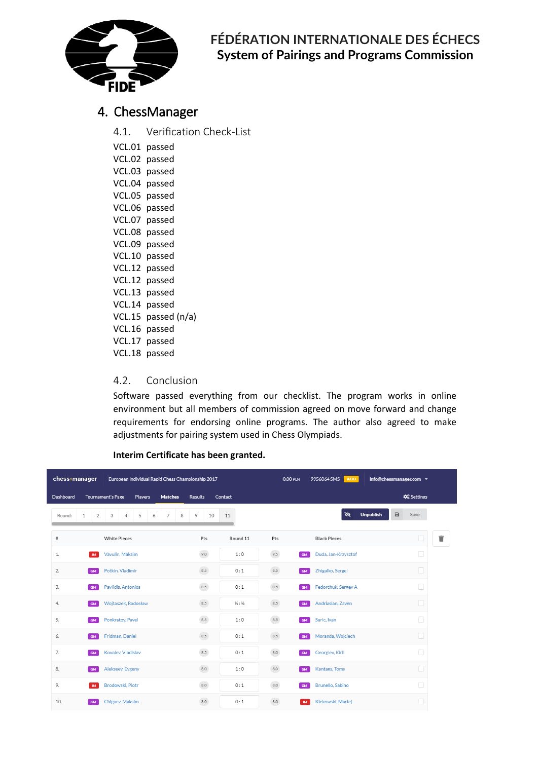

#### 4. ChessManager

4.1. Verification Check-List

| VCL.01        | passed       |
|---------------|--------------|
| <b>VCL.02</b> | passed       |
| VCL.03        | passed       |
| VCL.04        | passed       |
| <b>VCL.05</b> | passed       |
| VCL.06        | passed       |
| <b>VCL.07</b> | passed       |
| VCL.08        | passed       |
| <b>VCL.09</b> | passed       |
| VCL.10        | passed       |
| <b>VCL.12</b> | passed       |
| <b>VCL.12</b> | passed       |
| VCL.13        | passed       |
| VCL.14        | passed       |
| <b>VCL.15</b> | passed (n/a) |
| <b>VCL.16</b> | passed       |
| VCL.17        | passed       |
| VCL.18        | passed       |

#### 4.2. Conclusion

Software passed everything from our checklist. The program works in online environment but all members of commission agreed on move forward and change requirements for endorsing online programs. The author also agreed to make adjustments for pairing system used in Chess Olympiads.

#### **Interim Certificate has been granted.**

| chess:manager |           |                | European Individual Rapid Chess Championship 2017 |                     |         |   |                |   |                |              |    |                               |  | $0.00$ PLN   | 9956064 SMS | <b>ADD</b>          |               |                  | info@chessmanager.com = |                   |   |  |
|---------------|-----------|----------------|---------------------------------------------------|---------------------|---------|---|----------------|---|----------------|--------------|----|-------------------------------|--|--------------|-------------|---------------------|---------------|------------------|-------------------------|-------------------|---|--|
| Dashboard     |           |                | <b>Tournament's Page</b>                          |                     | Players |   | <b>Matches</b> |   | <b>Results</b> |              |    | Contact                       |  |              |             |                     |               |                  |                         | <b>C</b> Settings |   |  |
| Round:        | 1         | $\overline{2}$ | 3                                                 | 4                   | 5       | 6 | 7              | 8 | 9              |              | 10 | 11                            |  |              |             |                     | $\mathscr{B}$ | <b>Unpublish</b> | $\Box$                  | Save              |   |  |
| $\#$          |           |                |                                                   | <b>White Pieces</b> |         |   |                |   |                | Pts          |    | Round 11                      |  | Pts          |             | <b>Black Pieces</b> |               |                  |                         | L                 | û |  |
| 1.            |           | <b>IM</b>      |                                                   | Vavulin, Maksim     |         |   |                |   |                | 9.0          |    | 1:0                           |  | 9.5          | <b>GM</b>   | Duda, Jan-Krzysztof |               |                  |                         | $\Box$            |   |  |
| 2.            | <b>GM</b> |                |                                                   | Potkin, Vladimir    |         |   |                |   |                | 8.5          |    | 0:1                           |  | 8.5          | <b>GM</b>   | Zhigalko, Sergei    |               |                  |                         | C                 |   |  |
| 3.            | <b>GM</b> |                |                                                   | Pavlidis, Antonios  |         |   |                |   |                | 8.5          |    | 0:1                           |  | 8.5          | <b>GM</b>   | Fedorchuk, Sergey A |               |                  |                         | C                 |   |  |
| 4.            | <b>GM</b> |                |                                                   | Wojtaszek, Radosław |         |   |                |   |                | 8.5          |    | $\frac{1}{2}$ : $\frac{1}{2}$ |  | $8.5\,$      | GM          | Andriasian, Zaven   |               |                  |                         | C                 |   |  |
| 5.            | <b>GM</b> |                |                                                   | Ponkratov, Pavel    |         |   |                |   |                | 8.5          |    | 1:0                           |  | 8.5          | GM          | Saric, Ivan         |               |                  |                         | $\Box$            |   |  |
| 6.            | GM        |                |                                                   | Fridman, Daniel     |         |   |                |   |                | $8.5\,$      |    | 0:1                           |  | $8.5\,$      | GM          | Moranda, Wojciech   |               |                  |                         | C                 |   |  |
| 7.            | <b>GM</b> |                |                                                   | Kovalev, Vladislav  |         |   |                |   |                | 8.5          |    | 0:1                           |  | $_{\rm 8.0}$ | <b>GM</b>   | Georgiev, Kiril     |               |                  |                         | $\Box$            |   |  |
| 8.            | <b>GM</b> |                |                                                   | Alekseev, Evgeny    |         |   |                |   |                | $_{\rm 8.0}$ |    | 1:0                           |  | $_{\rm 8.0}$ | GM          | Kantans, Toms       |               |                  |                         | C                 |   |  |
| 9.            |           | <b>IM</b>      |                                                   | Brodowski, Piotr    |         |   |                |   |                | $8.0\,$      |    | 0:1                           |  | $_{\rm 8.0}$ | <b>GM</b>   | Brunello, Sabino    |               |                  |                         | $\Box$            |   |  |
| 10.           | <b>GM</b> |                |                                                   | Chigaev, Maksim     |         |   |                |   |                | 8.0          |    | 0:1                           |  | 8.0          | <b>IM</b>   | Klekowski, Maciej   |               |                  |                         |                   |   |  |